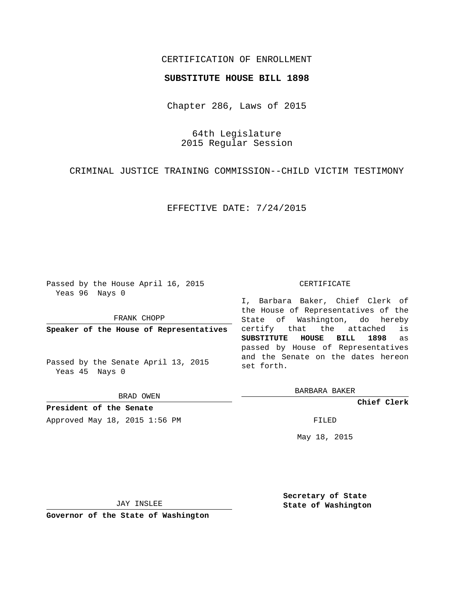## CERTIFICATION OF ENROLLMENT

### **SUBSTITUTE HOUSE BILL 1898**

Chapter 286, Laws of 2015

64th Legislature 2015 Regular Session

CRIMINAL JUSTICE TRAINING COMMISSION--CHILD VICTIM TESTIMONY

EFFECTIVE DATE: 7/24/2015

Passed by the House April 16, 2015 Yeas 96 Nays 0

FRANK CHOPP

**Speaker of the House of Representatives**

Passed by the Senate April 13, 2015 Yeas 45 Nays 0

BRAD OWEN

**President of the Senate** Approved May 18, 2015 1:56 PM FILED

#### CERTIFICATE

I, Barbara Baker, Chief Clerk of the House of Representatives of the State of Washington, do hereby certify that the attached is **SUBSTITUTE HOUSE BILL 1898** as passed by House of Representatives and the Senate on the dates hereon set forth.

BARBARA BAKER

**Chief Clerk**

May 18, 2015

JAY INSLEE

**Governor of the State of Washington**

**Secretary of State State of Washington**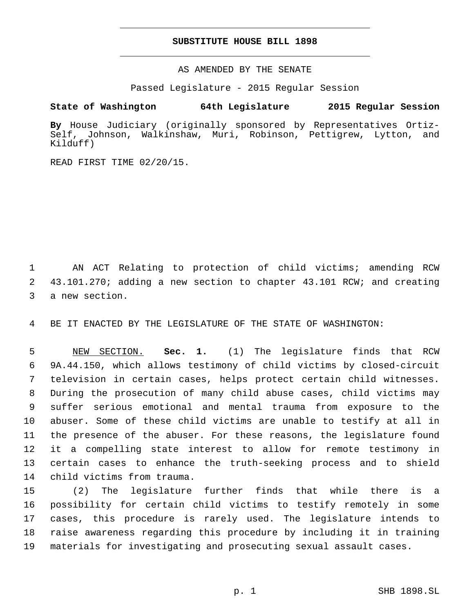## **SUBSTITUTE HOUSE BILL 1898**

AS AMENDED BY THE SENATE

Passed Legislature - 2015 Regular Session

# **State of Washington 64th Legislature 2015 Regular Session**

**By** House Judiciary (originally sponsored by Representatives Ortiz-Self, Johnson, Walkinshaw, Muri, Robinson, Pettigrew, Lytton, and Kilduff)

READ FIRST TIME 02/20/15.

 AN ACT Relating to protection of child victims; amending RCW 43.101.270; adding a new section to chapter 43.101 RCW; and creating 3 a new section.

BE IT ENACTED BY THE LEGISLATURE OF THE STATE OF WASHINGTON:

 NEW SECTION. **Sec. 1.** (1) The legislature finds that RCW 9A.44.150, which allows testimony of child victims by closed-circuit television in certain cases, helps protect certain child witnesses. During the prosecution of many child abuse cases, child victims may suffer serious emotional and mental trauma from exposure to the abuser. Some of these child victims are unable to testify at all in the presence of the abuser. For these reasons, the legislature found it a compelling state interest to allow for remote testimony in certain cases to enhance the truth-seeking process and to shield child victims from trauma.

 (2) The legislature further finds that while there is a possibility for certain child victims to testify remotely in some cases, this procedure is rarely used. The legislature intends to raise awareness regarding this procedure by including it in training materials for investigating and prosecuting sexual assault cases.